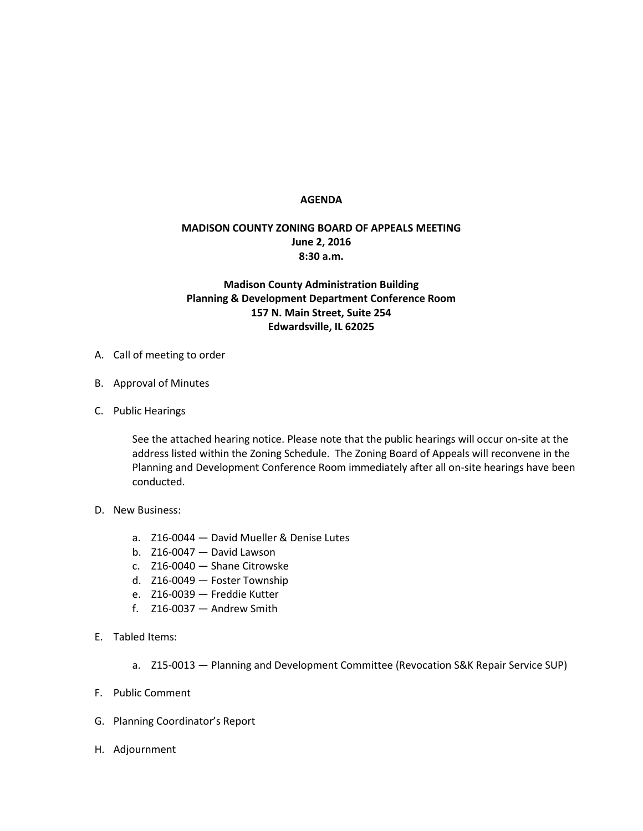## **AGENDA**

## **MADISON COUNTY ZONING BOARD OF APPEALS MEETING June 2, 2016 8:30 a.m.**

## **Madison County Administration Building Planning & Development Department Conference Room 157 N. Main Street, Suite 254 Edwardsville, IL 62025**

- A. Call of meeting to order
- B. Approval of Minutes
- C. Public Hearings

See the attached hearing notice. Please note that the public hearings will occur on-site at the address listed within the Zoning Schedule. The Zoning Board of Appeals will reconvene in the Planning and Development Conference Room immediately after all on-site hearings have been conducted.

- D. New Business:
	- a. Z16-0044 David Mueller & Denise Lutes
	- b. Z16-0047 David Lawson
	- c. Z16-0040 Shane Citrowske
	- d. Z16-0049 Foster Township
	- e. Z16-0039 Freddie Kutter
	- f. Z16-0037 Andrew Smith
- E. Tabled Items:
	- a. Z15-0013 Planning and Development Committee (Revocation S&K Repair Service SUP)
- F. Public Comment
- G. Planning Coordinator's Report
- H. Adjournment